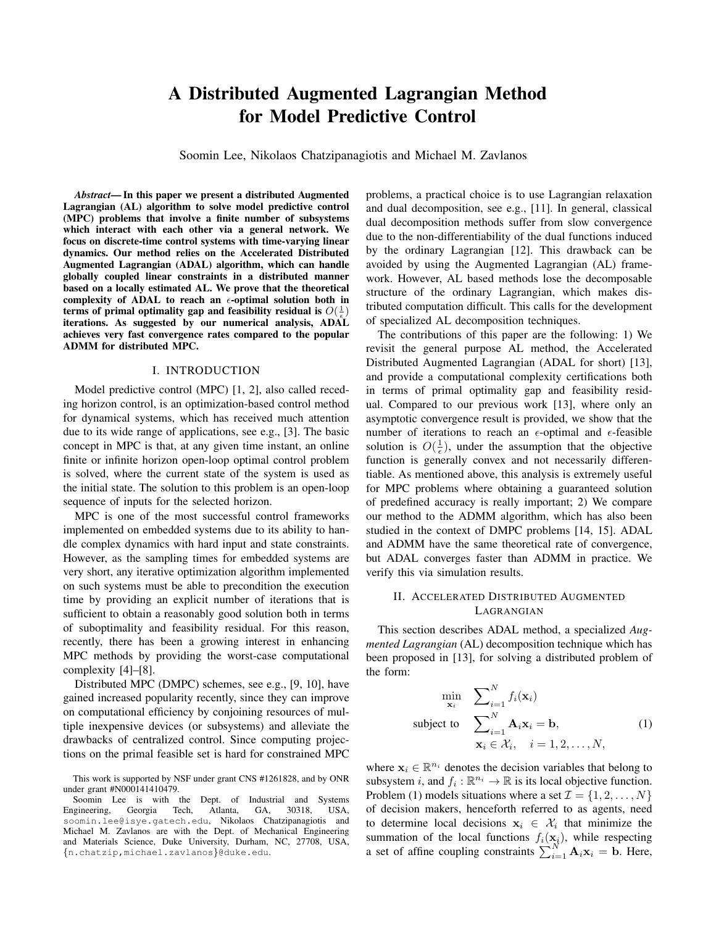# A Distributed Augmented Lagrangian Method for Model Predictive Control

Soomin Lee, Nikolaos Chatzipanagiotis and Michael M. Zavlanos

*Abstract*— In this paper we present a distributed Augmented Lagrangian (AL) algorithm to solve model predictive control (MPC) problems that involve a finite number of subsystems which interact with each other via a general network. We focus on discrete-time control systems with time-varying linear dynamics. Our method relies on the Accelerated Distributed Augmented Lagrangian (ADAL) algorithm, which can handle globally coupled linear constraints in a distributed manner based on a locally estimated AL. We prove that the theoretical complexity of ADAL to reach an  $\epsilon$ -optimal solution both in terms of primal optimality gap and feasibility residual is  $O(\frac{1}{\epsilon})$ iterations. As suggested by our numerical analysis, ADAL achieves very fast convergence rates compared to the popular ADMM for distributed MPC.

# I. INTRODUCTION

Model predictive control (MPC) [1, 2], also called receding horizon control, is an optimization-based control method for dynamical systems, which has received much attention due to its wide range of applications, see e.g., [3]. The basic concept in MPC is that, at any given time instant, an online finite or infinite horizon open-loop optimal control problem is solved, where the current state of the system is used as the initial state. The solution to this problem is an open-loop sequence of inputs for the selected horizon.

MPC is one of the most successful control frameworks implemented on embedded systems due to its ability to handle complex dynamics with hard input and state constraints. However, as the sampling times for embedded systems are very short, any iterative optimization algorithm implemented on such systems must be able to precondition the execution time by providing an explicit number of iterations that is sufficient to obtain a reasonably good solution both in terms of suboptimality and feasibility residual. For this reason, recently, there has been a growing interest in enhancing MPC methods by providing the worst-case computational complexity [4]–[8].

Distributed MPC (DMPC) schemes, see e.g., [9, 10], have gained increased popularity recently, since they can improve on computational efficiency by conjoining resources of multiple inexpensive devices (or subsystems) and alleviate the drawbacks of centralized control. Since computing projections on the primal feasible set is hard for constrained MPC problems, a practical choice is to use Lagrangian relaxation and dual decomposition, see e.g., [11]. In general, classical dual decomposition methods suffer from slow convergence due to the non-differentiability of the dual functions induced by the ordinary Lagrangian [12]. This drawback can be avoided by using the Augmented Lagrangian (AL) framework. However, AL based methods lose the decomposable structure of the ordinary Lagrangian, which makes distributed computation difficult. This calls for the development of specialized AL decomposition techniques.

The contributions of this paper are the following: 1) We revisit the general purpose AL method, the Accelerated Distributed Augmented Lagrangian (ADAL for short) [13], and provide a computational complexity certifications both in terms of primal optimality gap and feasibility residual. Compared to our previous work [13], where only an asymptotic convergence result is provided, we show that the number of iterations to reach an  $\epsilon$ -optimal and  $\epsilon$ -feasible solution is  $O(\frac{1}{\epsilon})$ , under the assumption that the objective function is generally convex and not necessarily differentiable. As mentioned above, this analysis is extremely useful for MPC problems where obtaining a guaranteed solution of predefined accuracy is really important; 2) We compare our method to the ADMM algorithm, which has also been studied in the context of DMPC problems [14, 15]. ADAL and ADMM have the same theoretical rate of convergence, but ADAL converges faster than ADMM in practice. We verify this via simulation results.

# II. ACCELERATED DISTRIBUTED AUGMENTED LAGRANGIAN

This section describes ADAL method, a specialized *Augmented Lagrangian* (AL) decomposition technique which has been proposed in [13], for solving a distributed problem of the form:

$$
\min_{\mathbf{x}_i} \sum_{i=1}^N f_i(\mathbf{x}_i)
$$
\n
$$
\text{subject to } \sum_{i=1}^N \mathbf{A}_i \mathbf{x}_i = \mathbf{b}, \tag{1}
$$
\n
$$
\mathbf{x}_i \in \mathcal{X}_i, \quad i = 1, 2, \dots, N,
$$

where  $x_i \in \mathbb{R}^{n_i}$  denotes the decision variables that belong to subsystem *i*, and  $f_i : \mathbb{R}^{n_i} \to \mathbb{R}$  is its local objective function. Problem (1) models situations where a set  $\mathcal{I} = \{1, 2, \ldots, N\}$ of decision makers, henceforth referred to as agents, need to determine local decisions  $x_i \in \mathcal{X}_i$  that minimize the summation of the local functions  $f_i(\mathbf{x}_i)$ , while respecting a set of affine coupling constraints  $\sum_{i=1}^{N'} \mathbf{A}_i \mathbf{x}_i = \mathbf{b}$ . Here,

This work is supported by NSF under grant CNS #1261828, and by ONR under grant #N000141410479.

Soomin Lee is with the Dept. of Industrial and Systems Engineering, Georgia Tech, Atlanta, GA, 30318, USA, soomin.lee@isye.gatech.edu, Nikolaos Chatzipanagiotis and Michael M. Zavlanos are with the Dept. of Mechanical Engineering and Materials Science, Duke University, Durham, NC, 27708, USA, {n.chatzip,michael.zavlanos}@duke.edu.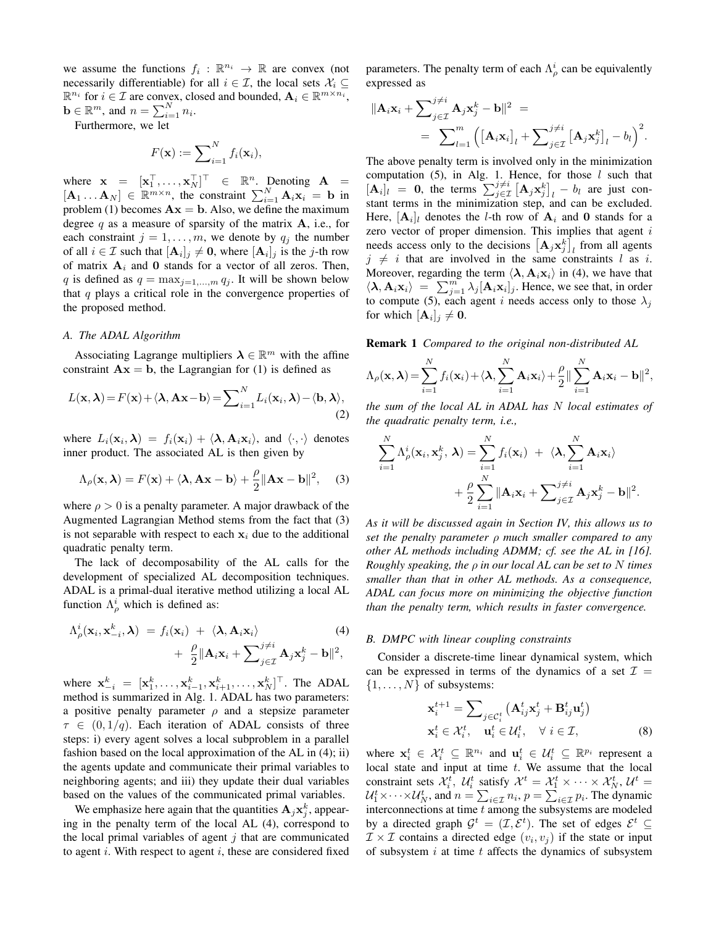we assume the functions  $f_i : \mathbb{R}^{n_i} \to \mathbb{R}$  are convex (not necessarily differentiable) for all  $i \in \mathcal{I}$ , the local sets  $\mathcal{X}_i \subseteq$  $\mathbb{R}^{n_i}$  for  $i \in \mathcal{I}$  are convex, closed and bounded,  $\mathbf{A}_i \in \mathbb{R}^{m \times n_i}$ ,  $\mathbf{b} \in \mathbb{R}^m$ , and  $n = \sum_{i=1}^N n_i$ .

Furthermore, we let

$$
F(\mathbf{x}) := \sum_{i=1}^{N} f_i(\mathbf{x}_i),
$$

where  $\mathbf{x} = [\mathbf{x}_1^\top, \dots, \mathbf{x}_N^\top]^\top \in \mathbb{R}^n$ . Denoting  $\mathbf{A} =$  $[\mathbf{A}_1 \dots \mathbf{A}_N] \in \mathbb{R}^{m \times n}$ , the constraint  $\sum_{i=1}^N \mathbf{A}_i \mathbf{x}_i = \mathbf{b}$  in problem (1) becomes  $\mathbf{A}\mathbf{x} = \mathbf{b}$ . Also, we define the maximum degree  $q$  as a measure of sparsity of the matrix  $A$ , i.e., for each constraint  $j = 1, \ldots, m$ , we denote by  $q_j$  the number of all  $i \in \mathcal{I}$  such that  $[\mathbf{A}_i]_j \neq \mathbf{0}$ , where  $[\mathbf{A}_i]_j$  is the j-th row of matrix  $A_i$  and 0 stands for a vector of all zeros. Then, q is defined as  $q = \max_{j=1,...,m} q_j$ . It will be shown below that  $q$  plays a critical role in the convergence properties of the proposed method.

#### *A. The ADAL Algorithm*

Associating Lagrange multipliers  $\lambda \in \mathbb{R}^m$  with the affine constraint  $Ax = b$ , the Lagrangian for (1) is defined as

$$
L(\mathbf{x}, \boldsymbol{\lambda}) = F(\mathbf{x}) + \langle \boldsymbol{\lambda}, \mathbf{A}\mathbf{x} - \mathbf{b} \rangle = \sum_{i=1}^{N} L_i(\mathbf{x}_i, \boldsymbol{\lambda}) - \langle \mathbf{b}, \boldsymbol{\lambda} \rangle,
$$
\n(2)

where  $L_i(\mathbf{x}_i, \lambda) = f_i(\mathbf{x}_i) + \langle \lambda, \mathbf{A}_i \mathbf{x}_i \rangle$ , and  $\langle \cdot, \cdot \rangle$  denotes inner product. The associated AL is then given by

$$
\Lambda_{\rho}(\mathbf{x}, \boldsymbol{\lambda}) = F(\mathbf{x}) + \langle \boldsymbol{\lambda}, \mathbf{A}\mathbf{x} - \mathbf{b} \rangle + \frac{\rho}{2} ||\mathbf{A}\mathbf{x} - \mathbf{b}||^2, \quad (3)
$$

where  $\rho > 0$  is a penalty parameter. A major drawback of the Augmented Lagrangian Method stems from the fact that (3) is not separable with respect to each  $x_i$  due to the additional quadratic penalty term.

The lack of decomposability of the AL calls for the development of specialized AL decomposition techniques. ADAL is a primal-dual iterative method utilizing a local AL function  $\Lambda_{\rho}^{i}$  which is defined as:

$$
\Lambda_{\rho}^{i}(\mathbf{x}_{i}, \mathbf{x}_{-i}^{k}, \boldsymbol{\lambda}) = f_{i}(\mathbf{x}_{i}) + \langle \boldsymbol{\lambda}, \mathbf{A}_{i} \mathbf{x}_{i} \rangle
$$
\n
$$
+ \frac{\rho}{2} ||\mathbf{A}_{i} \mathbf{x}_{i} + \sum_{j \in \mathcal{I}}^{j \neq i} \mathbf{A}_{j} \mathbf{x}_{j}^{k} - \mathbf{b} ||^{2},
$$
\n(4)

where  $\mathbf{x}_{-i}^k = [\mathbf{x}_1^k, \dots, \mathbf{x}_{i-1}^k, \mathbf{x}_{i+1}^k, \dots, \mathbf{x}_N^k]^\top$ . The ADAL method is summarized in Alg. 1. ADAL has two parameters: a positive penalty parameter  $\rho$  and a stepsize parameter  $\tau \in (0, 1/q)$ . Each iteration of ADAL consists of three steps: i) every agent solves a local subproblem in a parallel fashion based on the local approximation of the AL in (4); ii) the agents update and communicate their primal variables to neighboring agents; and iii) they update their dual variables based on the values of the communicated primal variables.

We emphasize here again that the quantities  $\mathbf{A}_j \mathbf{x}_j^k$ , appearing in the penalty term of the local AL (4), correspond to the local primal variables of agent  $j$  that are communicated to agent i. With respect to agent i, these are considered fixed

parameters. The penalty term of each  $\Lambda^i_\rho$  can be equivalently expressed as

$$
\|\mathbf{A}_{i}\mathbf{x}_{i} + \sum_{j\in\mathcal{I}}^{j\neq i} \mathbf{A}_{j}\mathbf{x}_{j}^{k} - \mathbf{b}\|^{2} =
$$
  
= 
$$
\sum_{l=1}^{m} \left( [\mathbf{A}_{i}\mathbf{x}_{i}]_{l} + \sum_{j\in\mathcal{I}}^{j\neq i} [\mathbf{A}_{j}\mathbf{x}_{j}^{k}]_{l} - b_{l} \right)^{2}.
$$

The above penalty term is involved only in the minimization computation (5), in Alg. 1. Hence, for those  $l$  such that  $[\mathbf{A}_i]_l = 0$ , the terms  $\sum_{j \in \mathcal{I}}^{j \neq i} [\mathbf{A}_j \mathbf{x}_j^k]_l - b_l$  are just constant terms in the minimization step, and can be excluded. Here,  $[\mathbf{A}_i]_l$  denotes the *l*-th row of  $\mathbf{A}_i$  and 0 stands for a zero vector of proper dimension. This implies that agent  $i$ needs access only to the decisions  $[\mathbf{A}_j \mathbf{x}_j^k]_l$  from all agents  $j \neq i$  that are involved in the same constraints l as i. Moreover, regarding the term  $\langle \lambda, A_i x_i \rangle$  in (4), we have that  $\langle \lambda, \mathbf{A}_i \mathbf{x}_i \rangle = \sum_{j=1}^m \lambda_j [\mathbf{A}_i \mathbf{x}_i]_j$ . Hence, we see that, in order to compute (5), each agent i needs access only to those  $\lambda_j$ for which  $[\mathbf{A}_i]_j \neq \mathbf{0}$ .

Remark 1 *Compared to the original non-distributed AL*

$$
\Lambda_{\rho}(\mathbf{x}, \boldsymbol{\lambda}) = \sum_{i=1}^{N} f_i(\mathbf{x}_i) + \langle \boldsymbol{\lambda}, \sum_{i=1}^{N} \mathbf{A}_i \mathbf{x}_i \rangle + \frac{\rho}{2} \|\sum_{i=1}^{N} \mathbf{A}_i \mathbf{x}_i - \mathbf{b}\|^2,
$$

*the sum of the local AL in ADAL has* N *local estimates of the quadratic penalty term, i.e.,*

$$
\sum_{i=1}^{N} \Lambda_{\rho}^{i}(\mathbf{x}_{i}, \mathbf{x}_{j}^{k}, \boldsymbol{\lambda}) = \sum_{i=1}^{N} f_{i}(\mathbf{x}_{i}) + \langle \boldsymbol{\lambda}, \sum_{i=1}^{N} \mathbf{A}_{i} \mathbf{x}_{i} \rangle + \frac{\rho}{2} \sum_{i=1}^{N} \|\mathbf{A}_{i} \mathbf{x}_{i} + \sum_{j \in \mathcal{I}}^{j \neq i} \mathbf{A}_{j} \mathbf{x}_{j}^{k} - \mathbf{b}\|^{2}.
$$

*As it will be discussed again in Section IV, this allows us to set the penalty parameter* ρ *much smaller compared to any other AL methods including ADMM; cf. see the AL in [16]. Roughly speaking, the* ρ *in our local AL can be set to* N *times smaller than that in other AL methods. As a consequence, ADAL can focus more on minimizing the objective function than the penalty term, which results in faster convergence.*

#### *B. DMPC with linear coupling constraints*

Consider a discrete-time linear dynamical system, which can be expressed in terms of the dynamics of a set  $\mathcal{I} =$  $\{1, \ldots, N\}$  of subsystems:

$$
\mathbf{x}_{i}^{t+1} = \sum_{j \in C_{i}^{t}} (\mathbf{A}_{ij}^{t} \mathbf{x}_{j}^{t} + \mathbf{B}_{ij}^{t} \mathbf{u}_{j}^{t})
$$
  

$$
\mathbf{x}_{i}^{t} \in \mathcal{X}_{i}^{t}, \quad \mathbf{u}_{i}^{t} \in \mathcal{U}_{i}^{t}, \quad \forall i \in \mathcal{I},
$$
 (8)

where  $\mathbf{x}_i^t \in \mathcal{X}_i^t \subseteq \mathbb{R}^{n_i}$  and  $\mathbf{u}_i^t \in \mathcal{U}_i^t \subseteq \mathbb{R}^{p_i}$  represent a local state and input at time  $t$ . We assume that the local constraint sets  $\mathcal{X}_i^t$ ,  $\mathcal{U}_i^t$  satisfy  $\mathcal{X}^t = \mathcal{X}_1^t \times \cdots \times \mathcal{X}_N^t$ ,  $\mathcal{U}^t =$  $\mathcal{U}_1^t \times \cdots \times \mathcal{U}_N^t$ , and  $n = \sum_{i \in \mathcal{I}} n_i$ ,  $p = \sum_{i \in \mathcal{I}} p_i$ . The dynamic interconnections at time  $t$  among the subsystems are modeled by a directed graph  $\mathcal{G}^t = (\mathcal{I}, \mathcal{E}^t)$ . The set of edges  $\mathcal{E}^t \subseteq$  $\mathcal{I} \times \mathcal{I}$  contains a directed edge  $(v_i, v_j)$  if the state or input of subsystem  $i$  at time  $t$  affects the dynamics of subsystem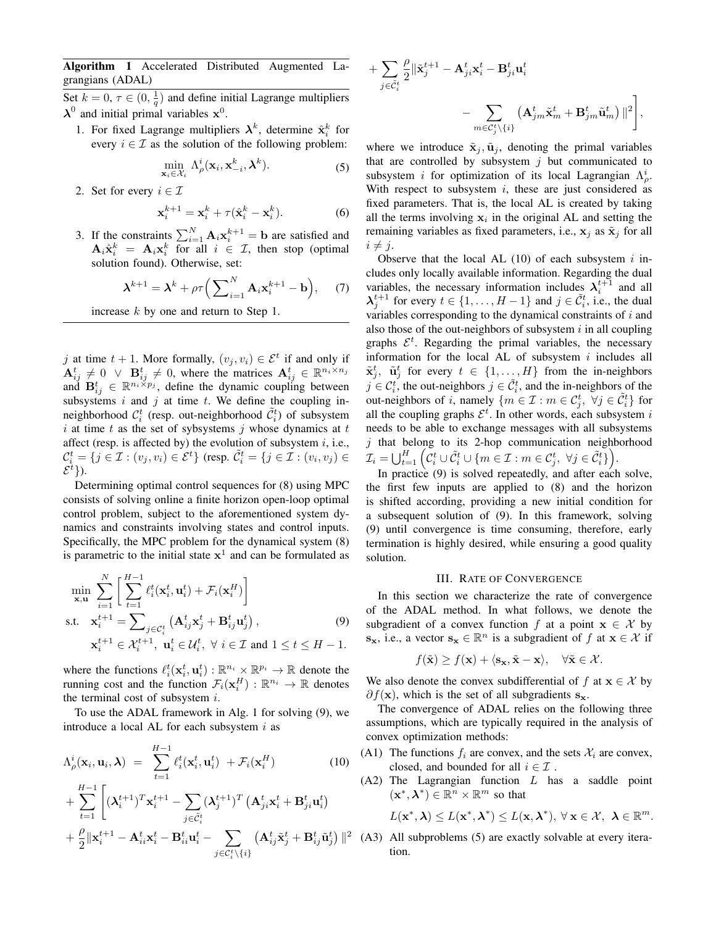Algorithm 1 Accelerated Distributed Augmented Lagrangians (ADAL)

Set  $k = 0, \tau \in (0, \frac{1}{q})$  and define initial Lagrange multipliers  $\lambda^0$  and initial primal variables  $x^0$ .

1. For fixed Lagrange multipliers  $\lambda^k$ , determine  $\hat{\mathbf{x}}_i^k$  for every  $i \in \mathcal{I}$  as the solution of the following problem:

$$
\min_{\mathbf{x}_i \in \mathcal{X}_i} \Lambda^i_{\rho}(\mathbf{x}_i, \mathbf{x}_{-i}^k, \boldsymbol{\lambda}^k).
$$
 (5)

2. Set for every  $i \in \mathcal{I}$ 

$$
\mathbf{x}_i^{k+1} = \mathbf{x}_i^k + \tau (\hat{\mathbf{x}}_i^k - \mathbf{x}_i^k). \tag{6}
$$

3. If the constraints  $\sum_{i=1}^{N} \mathbf{A}_i \mathbf{x}_i^{k+1} = \mathbf{b}$  are satisfied and  $\mathbf{A}_i \hat{\mathbf{x}}_i^k = \mathbf{A}_i \mathbf{x}_i^k$  for all  $i \in \mathcal{I}$ , then stop (optimal solution found). Otherwise, set:

$$
\boldsymbol{\lambda}^{k+1} = \boldsymbol{\lambda}^k + \rho \tau \Big( \sum_{i=1}^N \mathbf{A}_i \mathbf{x}_i^{k+1} - \mathbf{b} \Big), \quad (7)
$$

increase k by one and return to Step 1.

j at time  $t + 1$ . More formally,  $(v_j, v_i) \in \mathcal{E}^t$  if and only if  $\mathbf{A}_{ij}^t \neq 0 \ \lor \ \mathbf{B}_{ij}^t \neq 0$ , where the matrices  $\mathbf{A}_{ij}^t \in \mathbb{R}^{n_i \times n_j}$ and  $\mathbf{B}_{ij}^t \in \mathbb{R}^{n_i \times p_j}$ , define the dynamic coupling between subsystems  $i$  and  $j$  at time  $t$ . We define the coupling inneighborhood  $\mathcal{C}_i^t$  (resp. out-neighborhood  $\tilde{\mathcal{C}}_i^t$ ) of subsystem i at time t as the set of sybsystems j whose dynamics at t affect (resp. is affected by) the evolution of subsystem  $i$ , i.e.,  $\mathcal{C}_i^t = \{j \in \mathcal{I} : (v_j, v_i) \in \mathcal{E}^t\}$  (resp.  $\tilde{\mathcal{C}}_i^t = \{j \in \mathcal{I} : (v_i, v_j) \in \mathcal{C}\}$  $\mathcal{E}^{t}\}$ ).

Determining optimal control sequences for (8) using MPC consists of solving online a finite horizon open-loop optimal control problem, subject to the aforementioned system dynamics and constraints involving states and control inputs. Specifically, the MPC problem for the dynamical system (8) is parametric to the initial state  $x^1$  and can be formulated as

$$
\min_{\mathbf{x}, \mathbf{u}} \sum_{i=1}^{N} \left[ \sum_{t=1}^{H-1} \ell_i^t(\mathbf{x}_i^t, \mathbf{u}_i^t) + \mathcal{F}_i(\mathbf{x}_i^H) \right]
$$
\n
$$
\text{s.t.} \quad \mathbf{x}_i^{t+1} = \sum_{j \in C_i^t} \left( \mathbf{A}_{ij}^t \mathbf{x}_j^t + \mathbf{B}_{ij}^t \mathbf{u}_j^t \right),
$$
\n
$$
\mathbf{x}_i^{t+1} \in \mathcal{X}_i^{t+1}, \quad \mathbf{u}_i^t \in \mathcal{U}_i^t, \quad \forall \ i \in \mathcal{I} \text{ and } 1 \le t \le H - 1.
$$
\n(9)

where the functions  $\ell_i^t(\mathbf{x}_i^t, \mathbf{u}_i^t) : \mathbb{R}^{n_i} \times \mathbb{R}^{p_i} \to \mathbb{R}$  denote the running cost and the function  $\mathcal{F}_i(\mathbf{x}_i^H) : \mathbb{R}^{n_i} \to \mathbb{R}$  denotes the terminal cost of subsystem  $i$ .

To use the ADAL framework in Alg. 1 for solving (9), we introduce a local AL for each subsystem  $i$  as

$$
\Lambda_{\rho}^{i}(\mathbf{x}_{i}, \mathbf{u}_{i}, \boldsymbol{\lambda}) = \sum_{t=1}^{H-1} \ell_{i}^{t}(\mathbf{x}_{i}^{t}, \mathbf{u}_{i}^{t}) + \mathcal{F}_{i}(\mathbf{x}_{i}^{H})
$$
(10)

$$
+ \sum_{t=1}^{H-1}\left[(\boldsymbol{\lambda}_{i}^{t+1})^T\mathbf{x}_i^{t+1}-\sum_{j\in \tilde{\mathcal{C}}_i^{t}}(\boldsymbol{\lambda}_{j}^{t+1})^T\left(\mathbf{A}_{ji}^{t}\mathbf{x}_i^{t}+\mathbf{B}_{ji}^{t}\mathbf{u}_i^{t}\right)\right.\\ \left.+\frac{\rho}{2}\|\mathbf{x}_i^{t+1}-\mathbf{A}_{ii}^{t}\mathbf{x}_i^{t}-\mathbf{B}_{ii}^{t}\mathbf{u}_i^{t}-\sum_{j\in \mathcal{C}_i^{t}\backslash\{i\}}\left(\mathbf{A}_{ij}^{t}\tilde{\mathbf{x}}_j^{t}+\mathbf{B}_{ij}^{t}\tilde{\mathbf{u}}_j^{t}\right)\|^2\right.
$$

$$
\begin{aligned} &+\sum_{j\in\tilde{\mathcal{C}}_{i}^{t}}\frac{\rho}{2}\|\tilde{\mathbf{x}}_{j}^{t+1}-\mathbf{A}_{ji}^{t}\mathbf{x}_{i}^{t}-\mathbf{B}_{ji}^{t}\mathbf{u}_{i}^{t}\\ &-\sum_{m\in\mathcal{C}_{j}^{t}\backslash\{i\}}\left(\mathbf{A}_{jm}^{t}\tilde{\mathbf{x}}_{m}^{t}+\mathbf{B}_{jm}^{t}\tilde{\mathbf{u}}_{m}^{t}\right)\|^{2}\Bigg],\label{eq:optimal} \end{aligned}
$$

where we introduce  $\tilde{\mathbf{x}}_i$ ,  $\tilde{\mathbf{u}}_i$ , denoting the primal variables that are controlled by subsystem  $j$  but communicated to subsystem *i* for optimization of its local Lagrangian  $\Lambda^i_\rho$ . With respect to subsystem  $i$ , these are just considered as fixed parameters. That is, the local AL is created by taking all the terms involving  $x_i$  in the original AL and setting the remaining variables as fixed parameters, i.e.,  $x_j$  as  $\tilde{x}_j$  for all  $i \neq j$ .

Observe that the local AL  $(10)$  of each subsystem i includes only locally available information. Regarding the dual variables, the necessary information includes  $\lambda_i^{t+1}$  and all  $\lambda_j^{t+1}$  for every  $t \in \{1, ..., H-1\}$  and  $j \in \tilde{C}_i^t$ , i.e., the dual variables corresponding to the dynamical constraints of  $i$  and also those of the out-neighbors of subsystem  $i$  in all coupling graphs  $\mathcal{E}^t$ . Regarding the primal variables, the necessary information for the local AL of subsystem  $i$  includes all  $\tilde{\mathbf{x}}_j^t$ ,  $\tilde{\mathbf{u}}_j^t$  for every  $t \in \{1, ..., H\}$  from the in-neighbors  $j \in \mathcal{C}_i^t$ , the out-neighbors  $j \in \tilde{\mathcal{C}}_i^t$ , and the in-neighbors of the out-neighbors of i, namely  $\{m \in \mathcal{I} : m \in \mathcal{C}_j^t, \forall j \in \tilde{\mathcal{C}}_i^t\}$  for all the coupling graphs  $\mathcal{E}^t$ . In other words, each subsystem i needs to be able to exchange messages with all subsystems  $j$  that belong to its 2-hop communication neighborhood  $\mathcal{I}_i = \bigcup_{t=1}^H \left( \mathcal{C}_i^t \cup \tilde{\mathcal{C}}_i^t \cup \{m \in \mathcal{I} : m \in \mathcal{C}_j^t, \ \forall j \in \tilde{\mathcal{C}}_i^t \} \right).$ 

In practice (9) is solved repeatedly, and after each solve, the first few inputs are applied to (8) and the horizon is shifted according, providing a new initial condition for a subsequent solution of (9). In this framework, solving (9) until convergence is time consuming, therefore, early termination is highly desired, while ensuring a good quality solution.

### III. RATE OF CONVERGENCE

In this section we characterize the rate of convergence of the ADAL method. In what follows, we denote the subgradient of a convex function f at a point  $x \in \mathcal{X}$  by  $\mathbf{s}_{\mathbf{x}}$ , i.e., a vector  $\mathbf{s}_{\mathbf{x}} \in \mathbb{R}^n$  is a subgradient of f at  $\mathbf{x} \in \mathcal{X}$  if

$$
f(\tilde{\mathbf{x}}) \ge f(\mathbf{x}) + \langle \mathbf{s}_{\mathbf{x}}, \tilde{\mathbf{x}} - \mathbf{x} \rangle, \quad \forall \tilde{\mathbf{x}} \in \mathcal{X}.
$$

We also denote the convex subdifferential of f at  $x \in \mathcal{X}$  by  $\partial f(\mathbf{x})$ , which is the set of all subgradients  $\mathbf{s}_{\mathbf{x}}$ .

The convergence of ADAL relies on the following three assumptions, which are typically required in the analysis of convex optimization methods:

- (A1) The functions  $f_i$  are convex, and the sets  $\mathcal{X}_i$  are convex, closed, and bounded for all  $i \in \mathcal{I}$ .
- $(A2)$  The Lagrangian function  $L$  has a saddle point  $(\mathbf{x}^*, \boldsymbol{\lambda}^*) \in \mathbb{R}^n \times \mathbb{R}^m$  so that

$$
L(\mathbf{x}^*, \boldsymbol{\lambda}) \leq L(\mathbf{x}^*, \boldsymbol{\lambda}^*) \leq L(\mathbf{x}, \boldsymbol{\lambda}^*), \ \forall \ \mathbf{x} \in \mathcal{X}, \ \boldsymbol{\lambda} \in \mathbb{R}^m.
$$

(A3) All subproblems (5) are exactly solvable at every iteration.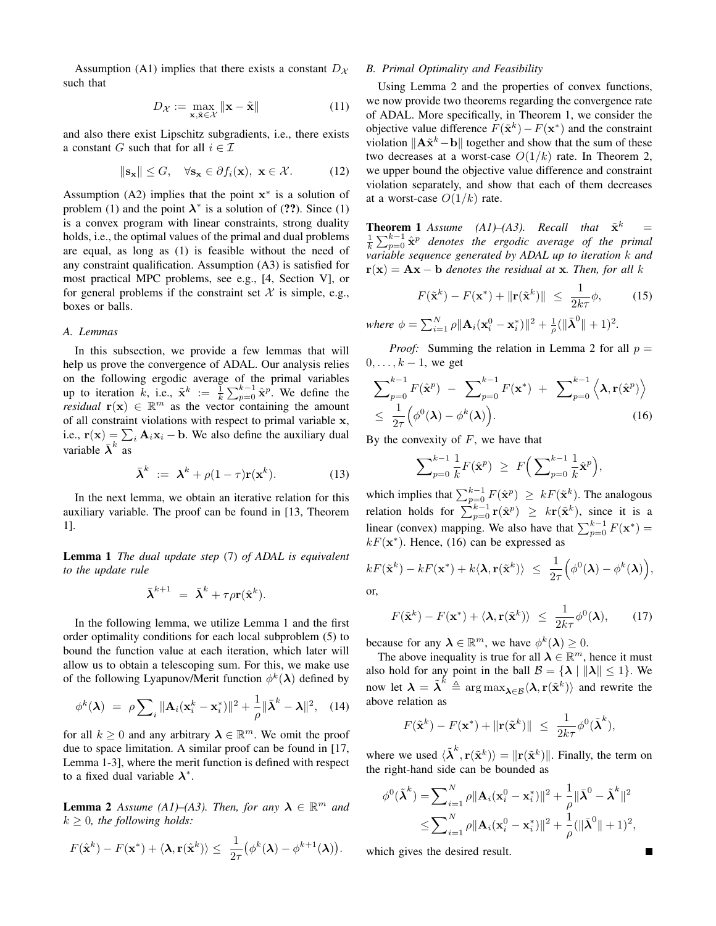Assumption (A1) implies that there exists a constant  $D_{\mathcal{X}}$ such that

$$
D_{\mathcal{X}} := \max_{\mathbf{x}, \tilde{\mathbf{x}} \in \mathcal{X}} \|\mathbf{x} - \tilde{\mathbf{x}}\| \tag{11}
$$

and also there exist Lipschitz subgradients, i.e., there exists a constant G such that for all  $i \in \mathcal{I}$ 

$$
\|\mathbf{s}_{\mathbf{x}}\| \leq G, \quad \forall \mathbf{s}_{\mathbf{x}} \in \partial f_i(\mathbf{x}), \ \mathbf{x} \in \mathcal{X}.
$$
 (12)

Assumption (A2) implies that the point  $x^*$  is a solution of problem (1) and the point  $\lambda^*$  is a solution of (??). Since (1) is a convex program with linear constraints, strong duality holds, i.e., the optimal values of the primal and dual problems are equal, as long as (1) is feasible without the need of any constraint qualification. Assumption (A3) is satisfied for most practical MPC problems, see e.g., [4, Section V], or for general problems if the constraint set  $X$  is simple, e.g., boxes or balls.

#### *A. Lemmas*

In this subsection, we provide a few lemmas that will help us prove the convergence of ADAL. Our analysis relies on the following ergodic average of the primal variables up to iteration k, i.e.,  $\tilde{\mathbf{x}}^k := \frac{1}{k} \sum_{p=0}^{k-1} \hat{\mathbf{x}}^p$ . We define the *residual*  $\mathbf{r}(\mathbf{x}) \in \mathbb{R}^m$  as the vector containing the amount of all constraint violations with respect to primal variable x, i.e.,  $\mathbf{r}(\mathbf{x}) = \sum_i \mathbf{A}_i \mathbf{x}_i - \mathbf{b}$ . We also define the auxiliary dual variable  $\bar{\lambda}^k$  as

$$
\bar{\boldsymbol{\lambda}}^{k} := \boldsymbol{\lambda}^{k} + \rho(1-\tau)\mathbf{r}(\mathbf{x}^{k}). \tag{13}
$$

In the next lemma, we obtain an iterative relation for this auxiliary variable. The proof can be found in [13, Theorem 1].

Lemma 1 *The dual update step* (7) *of ADAL is equivalent to the update rule*

$$
\bar{\boldsymbol{\lambda}}^{k+1} \ = \ \bar{\boldsymbol{\lambda}}^k + \tau \rho \mathbf{r}(\hat{\mathbf{x}}^k).
$$

In the following lemma, we utilize Lemma 1 and the first order optimality conditions for each local subproblem (5) to bound the function value at each iteration, which later will allow us to obtain a telescoping sum. For this, we make use of the following Lyapunov/Merit function  $\phi^k(\lambda)$  defined by

$$
\phi^k(\boldsymbol{\lambda}) = \rho \sum_i \|\mathbf{A}_i(\mathbf{x}_i^k - \mathbf{x}_i^*)\|^2 + \frac{1}{\rho} \|\bar{\boldsymbol{\lambda}}^k - \boldsymbol{\lambda}\|^2, \quad (14)
$$

for all  $k \geq 0$  and any arbitrary  $\lambda \in \mathbb{R}^m$ . We omit the proof due to space limitation. A similar proof can be found in [17, Lemma 1-3], where the merit function is defined with respect to a fixed dual variable  $\lambda^*$ .

**Lemma 2** Assume (A1)–(A3). Then, for any  $\lambda \in \mathbb{R}^m$  and  $k > 0$ , the following holds:

$$
F(\hat{\mathbf{x}}^k) - F(\mathbf{x}^*) + \langle \mathbf{\lambda}, \mathbf{r}(\hat{\mathbf{x}}^k) \rangle \leq \frac{1}{2\tau} (\phi^k(\mathbf{\lambda}) - \phi^{k+1}(\mathbf{\lambda})).
$$

# *B. Primal Optimality and Feasibility*

Using Lemma 2 and the properties of convex functions, we now provide two theorems regarding the convergence rate of ADAL. More specifically, in Theorem 1, we consider the objective value difference  $F(\tilde{\mathbf{x}}^k) - F(\mathbf{x}^*)$  and the constraint violation  $\|\mathbf{A}\tilde{\mathbf{x}}^k - \mathbf{b}\|$  together and show that the sum of these two decreases at a worst-case  $O(1/k)$  rate. In Theorem 2, we upper bound the objective value difference and constraint violation separately, and show that each of them decreases at a worst-case  $O(1/k)$  rate.

**Theorem 1** *Assume* (A1)–(A3). Recall that  $\tilde{\mathbf{x}}^k$  $=$  $\frac{1}{k}\sum_{p=0}^{k-1} \hat{\mathbf{x}}^p$  denotes the ergodic average of the primal *variable sequence generated by ADAL up to iteration* k *and*  $r(x) = Ax - b$  *denotes the residual at x. Then, for all k* 

$$
F(\tilde{\mathbf{x}}^k) - F(\mathbf{x}^*) + \|\mathbf{r}(\tilde{\mathbf{x}}^k)\| \le \frac{1}{2k\tau}\phi,
$$
 (15)

where 
$$
\phi = \sum_{i=1}^{N} \rho ||\mathbf{A}_i(\mathbf{x}_i^0 - \mathbf{x}_i^*)||^2 + \frac{1}{\rho} (||\bar{\mathbf{\lambda}}^0|| + 1)^2
$$
.

*Proof:* Summing the relation in Lemma 2 for all  $p =$  $0, \ldots, k-1$ , we get

$$
\sum_{p=0}^{k-1} F(\hat{\mathbf{x}}^p) - \sum_{p=0}^{k-1} F(\mathbf{x}^*) + \sum_{p=0}^{k-1} \langle \lambda, \mathbf{r}(\hat{\mathbf{x}}^p) \rangle
$$
  
\n
$$
\leq \frac{1}{2\tau} (\phi^0(\lambda) - \phi^k(\lambda)).
$$
 (16)

By the convexity of  $F$ , we have that

$$
\sum\nolimits_{p=0}^{k-1} \frac{1}{k} F(\hat{\mathbf{x}}^p) \ \geq \ F\Big(\sum\nolimits_{p=0}^{k-1} \frac{1}{k} \hat{\mathbf{x}}^p\Big),\
$$

which implies that  $\sum_{p=0}^{k-1} F(\hat{\mathbf{x}}^p) \geq kF(\tilde{\mathbf{x}}^k)$ . The analogous relation holds for  $\sum_{p=0}^{k-1} \mathbf{r}(\hat{\mathbf{x}}^p) \geq k \mathbf{r}(\tilde{\mathbf{x}}^k)$ , since it is a linear (convex) mapping. We also have that  $\sum_{p=0}^{k-1} F(\mathbf{x}^*)$  =  $kF(\mathbf{x}^*)$ . Hence, (16) can be expressed as

$$
kF(\tilde{\mathbf{x}}^k) - kF(\mathbf{x}^*) + k\langle \mathbf{\lambda}, \mathbf{r}(\tilde{\mathbf{x}}^k) \rangle \ \leq \ \frac{1}{2\tau} \Big( \phi^0(\mathbf{\lambda}) - \phi^k(\mathbf{\lambda}) \Big),
$$

or,

$$
F(\tilde{\mathbf{x}}^k) - F(\mathbf{x}^*) + \langle \mathbf{\lambda}, \mathbf{r}(\tilde{\mathbf{x}}^k) \rangle \le \frac{1}{2k\tau} \phi^0(\mathbf{\lambda}), \qquad (17)
$$

because for any  $\lambda \in \mathbb{R}^m$ , we have  $\phi^k(\lambda) \geq 0$ .

The above inequality is true for all  $\lambda \in \mathbb{R}^m$ , hence it must also hold for any point in the ball  $\mathcal{B} = {\lambda | \|\lambda\| \leq 1}.$  We now let  $\lambda = \tilde{\lambda}^k \stackrel{\sim}{=} \arg \max_{\lambda \in \mathcal{B}} \langle \lambda, r(\tilde{\mathbf{x}}^k) \rangle$  and rewrite the above relation as

$$
F(\tilde{\mathbf{x}}^k) - F(\mathbf{x}^*) + ||\mathbf{r}(\tilde{\mathbf{x}}^k)|| \le \frac{1}{2k\tau} \phi^0(\tilde{\boldsymbol{\lambda}}^k),
$$

where we used  $\langle \tilde{\lambda}^k, \mathbf{r}(\tilde{\mathbf{x}}^k) \rangle = ||\mathbf{r}(\tilde{\mathbf{x}}^k)||$ . Finally, the term on the right-hand side can be bounded as

$$
\phi^0(\tilde{\boldsymbol{\lambda}}^k) = \sum_{i=1}^N \rho \|\mathbf{A}_i(\mathbf{x}_i^0 - \mathbf{x}_i^*)\|^2 + \frac{1}{\rho} \|\bar{\boldsymbol{\lambda}}^0 - \tilde{\boldsymbol{\lambda}}^k\|^2
$$
  

$$
\leq \sum_{i=1}^N \rho \|\mathbf{A}_i(\mathbf{x}_i^0 - \mathbf{x}_i^*)\|^2 + \frac{1}{\rho} (\|\bar{\boldsymbol{\lambda}}^0\| + 1)^2,
$$

which gives the desired result.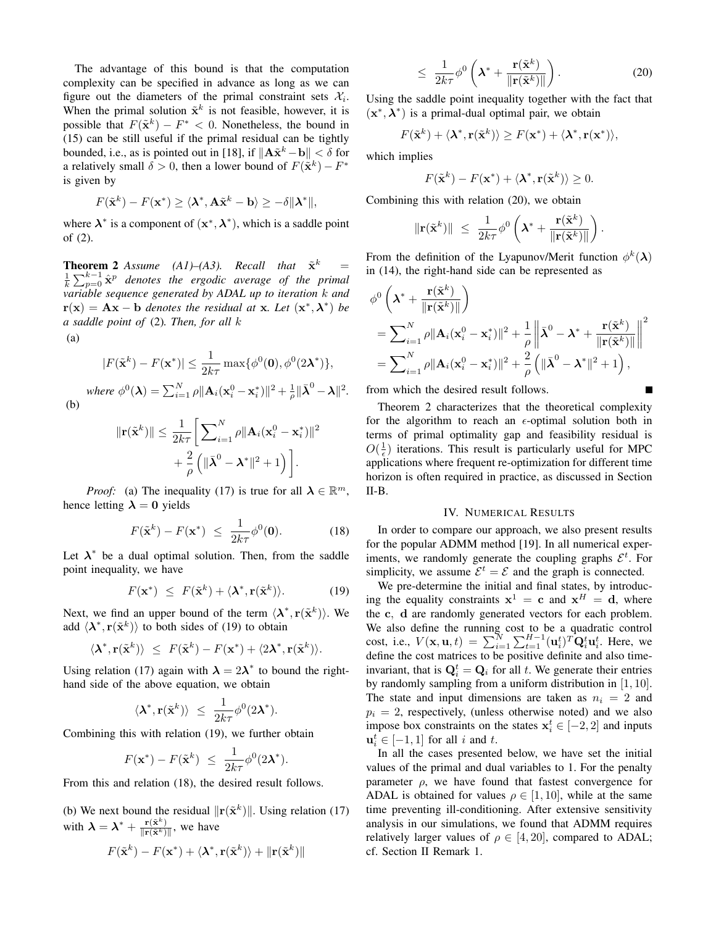The advantage of this bound is that the computation complexity can be specified in advance as long as we can figure out the diameters of the primal constraint sets  $\mathcal{X}_i$ . When the primal solution  $\tilde{\mathbf{x}}^k$  is not feasible, however, it is possible that  $F(\tilde{\mathbf{x}}^k) - F^* < 0$ . Nonetheless, the bound in (15) can be still useful if the primal residual can be tightly bounded, i.e., as is pointed out in [18], if  $\|\mathbf{A}\tilde{\mathbf{x}}^k - \mathbf{b}\| < \delta$  for a relatively small  $\delta > 0$ , then a lower bound of  $F(\tilde{\mathbf{x}}^k) - F^*$ is given by

$$
F(\tilde{\mathbf{x}}^k) - F(\mathbf{x}^*) \ge \langle \mathbf{\lambda}^*, \mathbf{A}\tilde{\mathbf{x}}^k - \mathbf{b} \rangle \ge -\delta \|\mathbf{\lambda}^*\|,
$$

where  $\lambda^*$  is a component of  $(x^*, \lambda^*)$ , which is a saddle point of (2).

**Theorem 2** *Assume* (A1)–(A3). Recall that  $\tilde{\mathbf{x}}^k$ **Theorem 2** Assume (A1)–(A3). Recall that  $\tilde{\mathbf{x}}^k$  =  $\frac{1}{k} \sum_{p=0}^{k-1} \hat{\mathbf{x}}^p$  denotes the ergodic average of the primal *variable sequence generated by ADAL up to iteration* k *and*  $\mathbf{r}(\mathbf{x}) = \mathbf{A}\mathbf{x} - \mathbf{b}$  *denotes the residual at* **x***. Let*  $(\mathbf{x}^*, \lambda^*)$  *be a saddle point of* (2)*. Then, for all* k

(a)

$$
|F(\tilde{\mathbf{x}}^k) - F(\mathbf{x}^*)| \le \frac{1}{2k\tau} \max\{\phi^0(\mathbf{0}), \phi^0(2\mathbf{\lambda}^*)\},
$$
  
where  $\phi^0(\mathbf{\lambda}) = \sum_{i=1}^N \rho ||\mathbf{A}_i(\mathbf{x}_i^0 - \mathbf{x}_i^*)||^2 + \frac{1}{\rho} ||\bar{\mathbf{\lambda}}^0 - \mathbf{\lambda}||^2$ .

(b)

$$
\begin{aligned} \|\mathbf{r}(\tilde{\mathbf{x}}^k)\| &\leq \frac{1}{2k\tau} \bigg[ \sum_{i=1}^N \rho \|\mathbf{A}_i(\mathbf{x}_i^0 - \mathbf{x}_i^*)\|^2 \\ &+ \frac{2}{\rho} \left( \|\bar{\mathbf{\lambda}}^0 - \mathbf{\lambda}^*\|^2 + 1 \right) \bigg]. \end{aligned}
$$

*Proof:* (a) The inequality (17) is true for all  $\lambda \in \mathbb{R}^m$ , hence letting  $\lambda = 0$  yields

$$
F(\tilde{\mathbf{x}}^k) - F(\mathbf{x}^*) \le \frac{1}{2k\tau} \phi^0(\mathbf{0}). \tag{18}
$$

Let  $\lambda^*$  be a dual optimal solution. Then, from the saddle point inequality, we have

$$
F(\mathbf{x}^*) \leq F(\tilde{\mathbf{x}}^k) + \langle \boldsymbol{\lambda}^*, \mathbf{r}(\tilde{\mathbf{x}}^k) \rangle.
$$
 (19)

Next, we find an upper bound of the term  $\langle \lambda^*, \mathbf{r}(\tilde{\mathbf{x}}^k) \rangle$ . We add  $\langle \lambda^*, \mathbf{r}(\tilde{\mathbf{x}}^k) \rangle$  to both sides of (19) to obtain

$$
\langle \lambda^*, \mathbf{r}(\tilde{\mathbf{x}}^k) \rangle \leq F(\tilde{\mathbf{x}}^k) - F(\mathbf{x}^*) + \langle 2\lambda^*, \mathbf{r}(\tilde{\mathbf{x}}^k) \rangle.
$$

Using relation (17) again with  $\lambda = 2\lambda^*$  to bound the righthand side of the above equation, we obtain

$$
\langle \pmb{\lambda}^*, \mathbf{r}(\tilde{\mathbf{x}}^k) \rangle \ \leq \ \frac{1}{2k\tau} \phi^0(2\pmb{\lambda}^*).
$$

Combining this with relation (19), we further obtain

$$
F(\mathbf{x}^*) - F(\tilde{\mathbf{x}}^k) \le \frac{1}{2k\tau} \phi^0(2\lambda^*).
$$

From this and relation (18), the desired result follows.

(b) We next bound the residual  $\|\mathbf{r}(\tilde{\mathbf{x}}^k)\|$ . Using relation (17) with  $\lambda = \lambda^* + \frac{\mathbf{r}(\tilde{\mathbf{x}}^k)}{\|\mathbf{r}(\tilde{\mathbf{x}}^k)\|}$ , we have

$$
F(\tilde{\mathbf{x}}^k) - F(\mathbf{x}^*) + \langle \boldsymbol{\lambda}^*, \mathbf{r}(\tilde{\mathbf{x}}^k) \rangle + ||\mathbf{r}(\tilde{\mathbf{x}}^k)||
$$

$$
\leq \frac{1}{2k\tau} \phi^0 \left( \boldsymbol{\lambda}^* + \frac{\mathbf{r}(\tilde{\mathbf{x}}^k)}{\|\mathbf{r}(\tilde{\mathbf{x}}^k)\|} \right).
$$
 (20)

Using the saddle point inequality together with the fact that  $(x^*, \lambda^*)$  is a primal-dual optimal pair, we obtain

$$
F(\tilde{\mathbf{x}}^k) + \langle \mathbf{\lambda}^*, \mathbf{r}(\tilde{\mathbf{x}}^k) \rangle \ge F(\mathbf{x}^*) + \langle \mathbf{\lambda}^*, \mathbf{r}(\mathbf{x}^*) \rangle,
$$

which implies

$$
F(\tilde{\mathbf{x}}^k) - F(\mathbf{x}^*) + \langle \mathbf{\lambda}^*, \mathbf{r}(\tilde{\mathbf{x}}^k) \rangle \ge 0.
$$

Combining this with relation (20), we obtain

$$
\|\mathbf{r}(\tilde{\mathbf{x}}^k)\| \ \leq \ \frac{1}{2k\tau}\phi^0\left(\boldsymbol{\lambda}^* + \frac{\mathbf{r}(\tilde{\mathbf{x}}^k)}{\|\mathbf{r}(\tilde{\mathbf{x}}^k)\|}\right).
$$

From the definition of the Lyapunov/Merit function  $\phi^k(\lambda)$ in (14), the right-hand side can be represented as

$$
\begin{split} &\phi^0\left(\boldsymbol{\lambda}^* + \frac{\mathbf{r}(\tilde{\mathbf{x}}^k)}{\|\mathbf{r}(\tilde{\mathbf{x}}^k)\|}\right) \\ &= \sum_{i=1}^N \rho \|\mathbf{A}_i(\mathbf{x}_i^0 - \mathbf{x}_i^*)\|^2 + \frac{1}{\rho} \left\|\bar{\boldsymbol{\lambda}}^0 - \boldsymbol{\lambda}^* + \frac{\mathbf{r}(\tilde{\mathbf{x}}^k)}{\|\mathbf{r}(\tilde{\mathbf{x}}^k)\|}\right\|^2 \\ &= \sum_{i=1}^N \rho \|\mathbf{A}_i(\mathbf{x}_i^0 - \mathbf{x}_i^*)\|^2 + \frac{2}{\rho} \left(\|\bar{\boldsymbol{\lambda}}^0 - \boldsymbol{\lambda}^*\|^2 + 1\right), \end{split}
$$

from which the desired result follows.

Theorem 2 characterizes that the theoretical complexity for the algorithm to reach an  $\epsilon$ -optimal solution both in terms of primal optimality gap and feasibility residual is  $O(\frac{1}{\epsilon})$  iterations. This result is particularly useful for MPC applications where frequent re-optimization for different time horizon is often required in practice, as discussed in Section II-B.

#### IV. NUMERICAL RESULTS

In order to compare our approach, we also present results for the popular ADMM method [19]. In all numerical experiments, we randomly generate the coupling graphs  $\mathcal{E}^t$ . For simplicity, we assume  $\mathcal{E}^t = \mathcal{E}$  and the graph is connected.

We pre-determine the initial and final states, by introducing the equality constraints  $x^1 = c$  and  $x^H = d$ , where the c, d are randomly generated vectors for each problem. We also define the running cost to be a quadratic control cost, i.e.,  $V(\mathbf{x}, \mathbf{u}, t) = \sum_{i=1}^{N} \sum_{t=1}^{H-1} (\mathbf{u}_i^t)^T \mathbf{Q}_i^t \mathbf{u}_i^t$ . Here, we define the cost matrices to be positive definite and also timeinvariant, that is  $\mathbf{Q}_i^t = \mathbf{Q}_i$  for all t. We generate their entries by randomly sampling from a uniform distribution in [1, 10]. The state and input dimensions are taken as  $n_i = 2$  and  $p_i = 2$ , respectively, (unless otherwise noted) and we also impose box constraints on the states  $x_i^t \in [-2, 2]$  and inputs  $\mathbf{u}_i^t \in [-1, 1]$  for all i and t.

In all the cases presented below, we have set the initial values of the primal and dual variables to 1. For the penalty parameter  $\rho$ , we have found that fastest convergence for ADAL is obtained for values  $\rho \in [1, 10]$ , while at the same time preventing ill-conditioning. After extensive sensitivity analysis in our simulations, we found that ADMM requires relatively larger values of  $\rho \in [4, 20]$ , compared to ADAL; cf. Section II Remark 1.